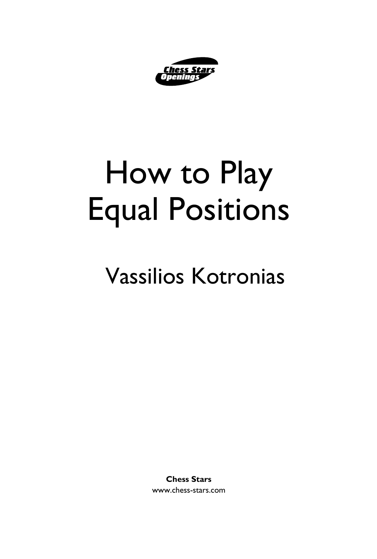

# How to Play Equal Positions

## Vassilios Kotronias

**Chess Stars** www.chess-stars.com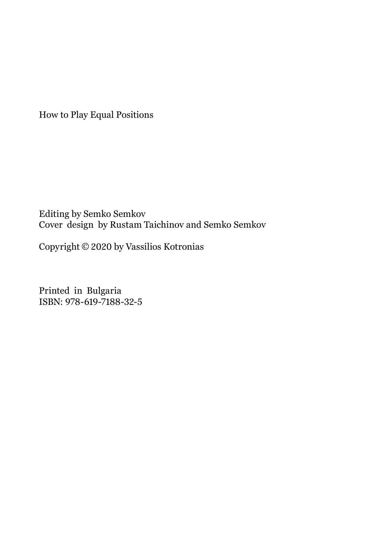How to Play Equal Positions

Editing by Semko Semkov Cover design by Rustam Taichinov and Semko Semkov

Copyright © 2020 by Vassilios Kotronias

Printed in Bulgaria ISBN: 978-619-7188-32-5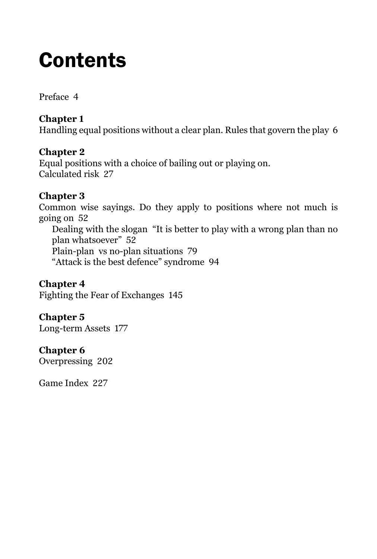### **Contents**

Preface 4

#### **Chapter 1**

Handling equal positions without a clear plan. Rules that govern the play 6

#### **Chapter 2**

Equal positions with a choice of bailing out or playing on. Calculated risk 27

#### **Chapter 3**

Common wise sayings. Do they apply to positions where not much is going on 52 Dealing with the slogan "It is better to play with a wrong plan than no plan whatsoever" 52 Plain-plan vs no-plan situations 79 "Attack is the best defence" syndrome 94

**Chapter 4** Fighting the Fear of Exchanges 145

**Chapter 5**  Long-term Assets 177

#### **Chapter 6**

Overpressing 202

Game Index 227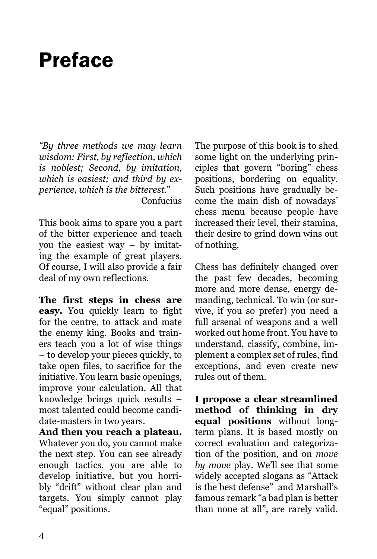### Preface

*"By three methods we may learn wisdom: First, by reflection, which is noblest; Second, by imitation, which is easiest; and third by experience, which is the bitterest."* Confucius

This book aims to spare you a part of the bitter experience and teach you the easiest way – by imitating the example of great players. Of course, I will also provide a fair deal of my own reflections.

**The first steps in chess are easy.** You quickly learn to fight for the centre, to attack and mate the enemy king. Books and trainers teach you a lot of wise things – to develop your pieces quickly, to take open files, to sacrifice for the initiative. You learn basic openings, improve your calculation. All that knowledge brings quick results – most talented could become candidate-masters in two years.

**And then you reach a plateau.** Whatever you do, you cannot make the next step. You can see already enough tactics, you are able to develop initiative, but you horribly "drift" without clear plan and targets. You simply cannot play "equal" positions.

The purpose of this book is to shed some light on the underlying principles that govern "boring" chess positions, bordering on equality. Such positions have gradually become the main dish of nowadays' chess menu because people have increased their level, their stamina, their desire to grind down wins out of nothing.

Chess has definitely changed over the past few decades, becoming more and more dense, energy demanding, technical. To win (or survive, if you so prefer) you need a full arsenal of weapons and a well worked out home front. You have to understand, classify, combine, implement a complex set of rules, find exceptions, and even create new rules out of them.

**I propose a clear streamlined method of thinking in dry equal positions** without longterm plans. It is based mostly on correct evaluation and categorization of the position, and on *move by move* play. We'll see that some widely accepted slogans as "Attack is the best defense" and Marshall's famous remark "a bad plan is better than none at all", are rarely valid.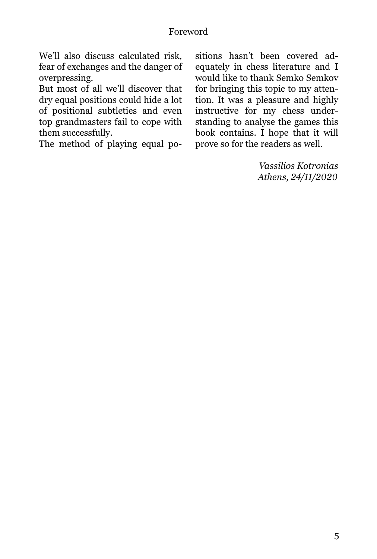#### Foreword

We'll also discuss calculated risk, fear of exchanges and the danger of overpressing.

But most of all we'll discover that dry equal positions could hide a lot of positional subtleties and even top grandmasters fail to cope with them successfully.

The method of playing equal po-

sitions hasn't been covered adequately in chess literature and I would like to thank Semko Semkov for bringing this topic to my attention. It was a pleasure and highly instructive for my chess understanding to analyse the games this book contains. I hope that it will prove so for the readers as well.

> *Vassilios Kotronias Athens, 24/11/2020*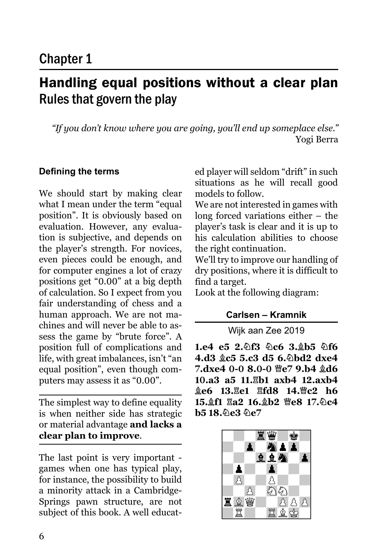### Handling equal positions without a clear plan Rules that govern the play

*"If you don't know where you are going, you'll end up someplace else."* Yogi Berra

#### **Defining the terms**

We should start by making clear what I mean under the term "equal position". It is obviously based on evaluation. However, any evaluation is subjective, and depends on the player's strength. For novices, even pieces could be enough, and for computer engines a lot of crazy positions get "0.00" at a big depth of calculation. So I expect from you fair understanding of chess and a human approach. We are not machines and will never be able to assess the game by "brute force". A position full of complications and life, with great imbalances, isn't "an equal position", even though computers may assess it as "0.00".

The simplest way to define equality is when neither side has strategic or material advantage **and lacks a clear plan to improve**.

The last point is very important games when one has typical play, for instance, the possibility to build a minority attack in a Cambridge-Springs pawn structure, are not subject of this book. A well educated player will seldom "drift" in such situations as he will recall good models to follow.

We are not interested in games with long forced variations either – the player's task is clear and it is up to his calculation abilities to choose the right continuation.

We'll try to improve our handling of dry positions, where it is difficult to find a target.

Look at the following diagram:

#### **Carlsen – Kramnik**

Wijk aan Zee 2019

1.e4 e5 2. bf3 0c6 3. b5 0f6 **4.d3 Bc5 5.c3 d5 6.Nbd2 dxe4 7.dxe4 0-0 8.0-0 曾e7 9.b4 gd6 10.a3 a5 11.Rb1 axb4 12.axb4 ge6 13. He1 Hfd8 14. Fc2 h6** 15. f1  $\overline{2a2}$  16. h2 \ce8 17. hc4 **b5 18.2e3 2e7** 

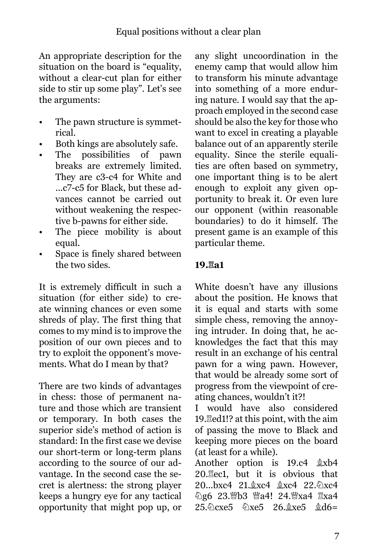An appropriate description for the situation on the board is "equality, without a clear-cut plan for either side to stir up some play". Let's see the arguments:

- The pawn structure is symmetrical.
- Both kings are absolutely safe.
- The possibilities of pawn breaks are extremely limited. They are c3-c4 for White and ...c7-c5 for Black, but these advances cannot be carried out without weakening the respective b-pawns for either side.
- The piece mobility is about equal.
- Space is finely shared between the two sides.

It is extremely difficult in such a situation (for either side) to create winning chances or even some shreds of play. The first thing that comes to my mind is to improve the position of our own pieces and to try to exploit the opponent's movements. What do I mean by that?

There are two kinds of advantages in chess: those of permanent nature and those which are transient or temporary. In both cases the superior side's method of action is standard: In the first case we devise our short-term or long-term plans according to the source of our advantage. In the second case the secret is alertness: the strong player keeps a hungry eye for any tactical opportunity that might pop up, or

any slight uncoordination in the enemy camp that would allow him to transform his minute advantage into something of a more enduring nature. I would say that the approach employed in the second case should be also the key for those who want to excel in creating a playable balance out of an apparently sterile equality. Since the sterile equalities are often based on symmetry, one important thing is to be alert enough to exploit any given opportunity to break it. Or even lure our opponent (within reasonable boundaries) to do it himself. The present game is an example of this particular theme.

#### **19.Ra1**

White doesn't have any illusions about the position. He knows that it is equal and starts with some simple chess, removing the annoying intruder. In doing that, he acknowledges the fact that this may result in an exchange of his central pawn for a wing pawn. However, that would be already some sort of progress from the viewpoint of creating chances, wouldn't it?!

I would have also considered 19. Hed1!? at this point, with the aim of passing the move to Black and keeping more pieces on the board (at least for a while).

Another option is  $19.c4$   $\&$ xb4 20.Rec1, but it is obvious that 20...bxc4 21. xc4 2xc4 22. 2xc4 2016 23. b3 Ma4! 24. Xxa4 Exa4  $25.\&$  cxe5  $\&$ xe5  $26.\&$ xe5  $\&$ d6=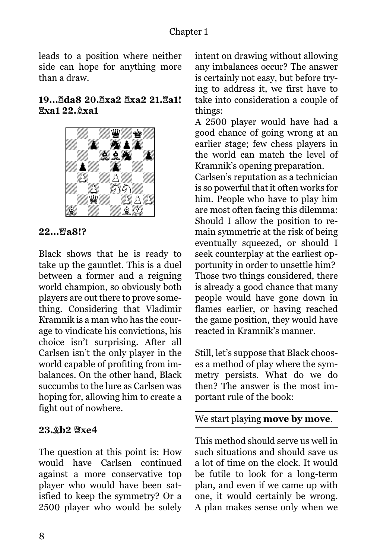#### Chapter 1

leads to a position where neither side can hope for anything more than a draw.

#### **19...Rda8 20.Rxa2 Rxa2 21.Ra1! Rxa1 22.Bxa1**



**22...** 幽a8!?

Black shows that he is ready to take up the gauntlet. This is a duel between a former and a reigning world champion, so obviously both players are out there to prove something. Considering that Vladimir Кramnik is a man who has the courage to vindicate his convictions, his choice isn't surprising. After all Carlsen isn't the only player in the world capable of profiting from imbalances. On the other hand, Black succumbs to the lure as Carlsen was hoping for, allowing him to create a fight out of nowhere.

#### **23. b2 曾xe4**

The question at this point is: How would have Carlsen continued against a more conservative top player who would have been satisfied to keep the symmetry? Or a 2500 player who would be solely

intent on drawing without allowing any imbalances occur? The answer is certainly not easy, but before trying to address it, we first have to take into consideration a couple of things:

A 2500 player would have had a good chance of going wrong at an earlier stage; few chess players in the world can match the level of Kramnik's opening preparation.

Carlsen's reputation as a technician is so powerful that it often works for him. People who have to play him are most often facing this dilemma: Should I allow the position to remain symmetric at the risk of being eventually squeezed, or should I seek counterplay at the earliest opportunity in order to unsettle him? Those two things considered, there is already a good chance that many people would have gone down in flames earlier, or having reached the game position, they would have reacted in Kramnik's manner.

Still, let's suppose that Black chooses a method of play where the symmetry persists. What do we do then? The answer is the most important rule of the book:

#### We start playing **move by move**.

This method should serve us well in such situations and should save us a lot of time on the clock. It would be futile to look for a long-term plan, and even if we came up with one, it would certainly be wrong. A plan makes sense only when we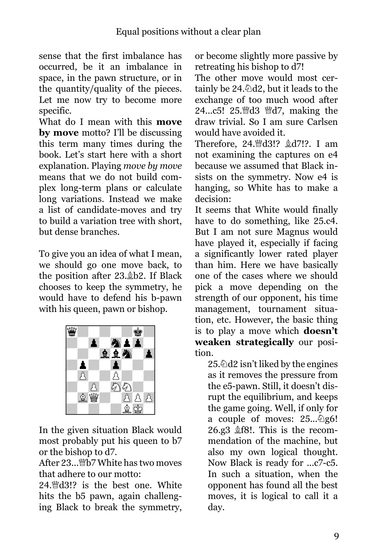sense that the first imbalance has occurred, be it an imbalance in space, in the pawn structure, or in the quantity/quality of the pieces. Let me now try to become more specific.

What do I mean with this **move by move** motto? I'll be discussing this term many times during the book. Let's start here with a short explanation. Playing *move by move*  means that we do not build complex long-term plans or calculate long variations. Instead we make a list of candidate-moves and try to build a variation tree with short, but dense branches.

To give you an idea of what I mean, we should go one move back, to the position after 23. b2. If Black chooses to keep the symmetry, he would have to defend his b-pawn with his queen, pawn or bishop.



In the given situation Black would most probably put his queen to b7 or the bishop to d7.

After 23... *N*b7 White has two moves that adhere to our motto:

24. Mud3!? is the best one. White hits the b5 pawn, again challenging Black to break the symmetry,

or become slightly more passive by retreating his bishop to d7!

The other move would most certainly be  $24.\triangle d2$ , but it leads to the exchange of too much wood after 24...c5! 25. d3 *Nd7*, making the draw trivial. So I am sure Carlsen would have avoided it.

Therefore, 24. d3!? &d7!?. I am not examining the captures on e4 because we assumed that Black insists on the symmetry. Now e4 is hanging, so White has to make a decision:

It seems that White would finally have to do something, like 25.c4. But I am not sure Magnus would have played it, especially if facing a significantly lower rated player than him. Here we have basically one of the cases where we should pick a move depending on the strength of our opponent, his time management, tournament situation, etc. However, the basic thing is to play a move which **doesn't weaken strategically** our position.

25. $\triangle$ d2 isn't liked by the engines as it removes the pressure from the e5-pawn. Still, it doesn't disrupt the equilibrium, and keeps the game going. Well, if only for a couple of moves:  $25...\&96!$ 26.g3  $$f8!$ . This is the recommendation of the machine, but also my own logical thought. Now Black is ready for ...c7-c5. In such a situation, when the opponent has found all the best moves, it is logical to call it a day.